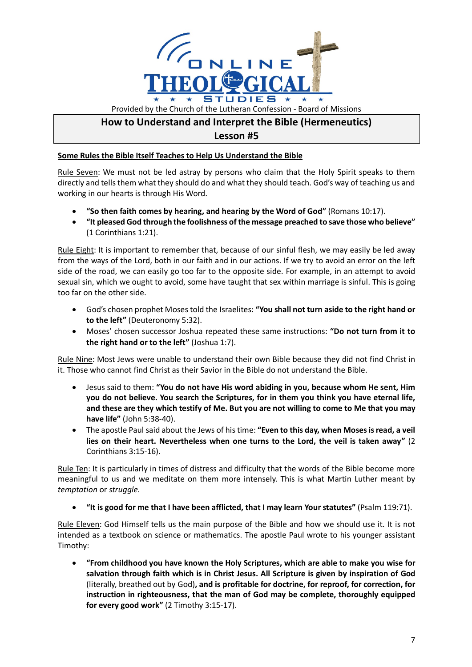

## **How to Understand and Interpret the Bible (Hermeneutics) Lesson #5**

## **Some Rules the Bible Itself Teaches to Help Us Understand the Bible**

Rule Seven: We must not be led astray by persons who claim that the Holy Spirit speaks to them directly and tells them what they should do and what they should teach. God's way of teaching us and working in our hearts is through His Word.

- **"So then faith comes by hearing, and hearing by the Word of God"** (Romans 10:17).
- **"It pleased God through the foolishness of the message preached to save those who believe"**  (1 Corinthians 1:21).

Rule Eight: It is important to remember that, because of our sinful flesh, we may easily be led away from the ways of the Lord, both in our faith and in our actions. If we try to avoid an error on the left side of the road, we can easily go too far to the opposite side. For example, in an attempt to avoid sexual sin, which we ought to avoid, some have taught that sex within marriage is sinful. This is going too far on the other side.

- God's chosen prophet Moses told the Israelites: **"You shall not turn aside to the right hand or to the left"** (Deuteronomy 5:32).
- Moses' chosen successor Joshua repeated these same instructions: **"Do not turn from it to the right hand or to the left"** (Joshua 1:7).

Rule Nine: Most Jews were unable to understand their own Bible because they did not find Christ in it. Those who cannot find Christ as their Savior in the Bible do not understand the Bible.

- Jesus said to them: **"You do not have His word abiding in you, because whom He sent, Him you do not believe. You search the Scriptures, for in them you think you have eternal life, and these are they which testify of Me. But you are not willing to come to Me that you may have life"** (John 5:38-40).
- The apostle Paul said about the Jews of his time: **"Even to this day, when Moses is read, a veil lies on their heart. Nevertheless when one turns to the Lord, the veil is taken away"** (2 Corinthians 3:15-16).

Rule Ten: It is particularly in times of distress and difficulty that the words of the Bible become more meaningful to us and we meditate on them more intensely. This is what Martin Luther meant by *temptation* or *struggle*.

• **"It is good for me that I have been afflicted, that I may learn Your statutes"** (Psalm 119:71).

Rule Eleven: God Himself tells us the main purpose of the Bible and how we should use it. It is not intended as a textbook on science or mathematics. The apostle Paul wrote to his younger assistant Timothy:

• **"From childhood you have known the Holy Scriptures, which are able to make you wise for salvation through faith which is in Christ Jesus. All Scripture is given by inspiration of God**  (literally, breathed out by God)**, and is profitable for doctrine, for reproof, for correction, for instruction in righteousness, that the man of God may be complete, thoroughly equipped for every good work"** (2 Timothy 3:15-17).